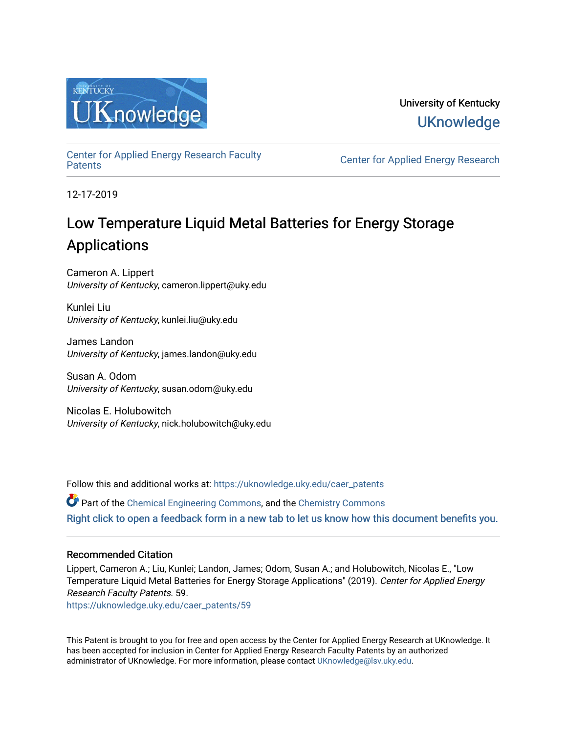

University of Kentucky **UKnowledge** 

[Center for Applied Energy Research Faculty](https://uknowledge.uky.edu/caer_patents)

Center for Applied Energy Research

12-17-2019

# Low Temperature Liquid Metal Batteries for Energy Storage Applications

Cameron A. Lippert University of Kentucky, cameron.lippert@uky.edu

Kunlei Liu University of Kentucky, kunlei.liu@uky.edu

James Landon University of Kentucky, james.landon@uky.edu

Susan A. Odom University of Kentucky, susan.odom@uky.edu

Nicolas E. Holubowitch University of Kentucky, nick.holubowitch@uky.edu

Follow this and additional works at: [https://uknowledge.uky.edu/caer\\_patents](https://uknowledge.uky.edu/caer_patents?utm_source=uknowledge.uky.edu%2Fcaer_patents%2F59&utm_medium=PDF&utm_campaign=PDFCoverPages) 

Part of the [Chemical Engineering Commons](http://network.bepress.com/hgg/discipline/240?utm_source=uknowledge.uky.edu%2Fcaer_patents%2F59&utm_medium=PDF&utm_campaign=PDFCoverPages), and the [Chemistry Commons](http://network.bepress.com/hgg/discipline/131?utm_source=uknowledge.uky.edu%2Fcaer_patents%2F59&utm_medium=PDF&utm_campaign=PDFCoverPages)  [Right click to open a feedback form in a new tab to let us know how this document benefits you.](https://uky.az1.qualtrics.com/jfe/form/SV_9mq8fx2GnONRfz7)

## Recommended Citation

Lippert, Cameron A.; Liu, Kunlei; Landon, James; Odom, Susan A.; and Holubowitch, Nicolas E., "Low Temperature Liquid Metal Batteries for Energy Storage Applications" (2019). Center for Applied Energy Research Faculty Patents. 59.

[https://uknowledge.uky.edu/caer\\_patents/59](https://uknowledge.uky.edu/caer_patents/59?utm_source=uknowledge.uky.edu%2Fcaer_patents%2F59&utm_medium=PDF&utm_campaign=PDFCoverPages)

This Patent is brought to you for free and open access by the Center for Applied Energy Research at UKnowledge. It has been accepted for inclusion in Center for Applied Energy Research Faculty Patents by an authorized administrator of UKnowledge. For more information, please contact [UKnowledge@lsv.uky.edu](mailto:UKnowledge@lsv.uky.edu).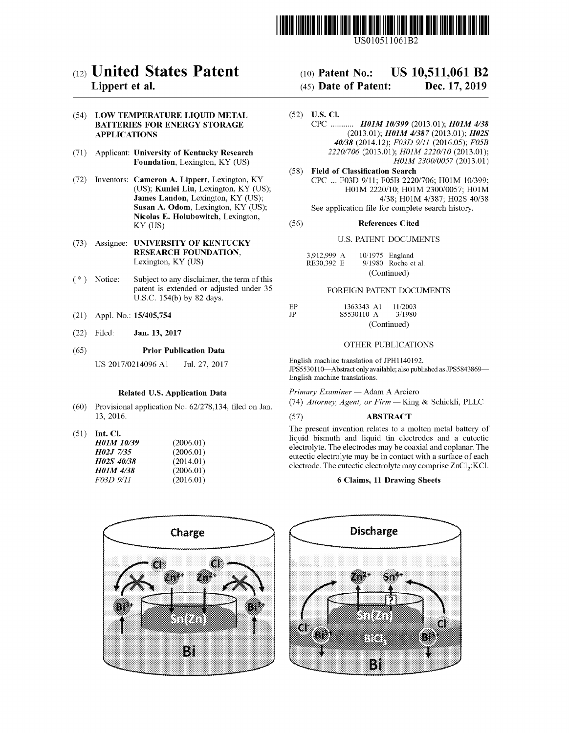

US010511061B2

## c12) **United States Patent**

## **Lippert et al.**

## (54) **LOW TEMPERATURE LIQUID METAL BATTERIES FOR ENERGY STORAGE APPLICATIONS**

- (71) Applicant: **University of Kentucky Research Foundation,** Lexington, KY (US)
- (72) Inventors: **Cameron A. Lippert,** Lexington, KY (US); **Kunlei Liu,** Lexington, KY (US); **James Landon,** Lexington, KY (US); **Susan A. Odom,** Lexington, KY (US); **Nicolas E. Holubowitch,** Lexington, KY (US)
- (73) Assignee: **UNIVERSITY OF KENTUCKY RESEARCH FOUNDATION,**  Lexington, KY (US)
- $(*)$  Notice: Subject to any disclaimer, the term of this patent is extended or adjusted under 35 U.S.C. 154(b) by 82 days.
- (21) Appl. No.: **15/405,754**
- (22) Filed: **Jan. 13, 2017**

#### (65) **Prior Publication Data**

US 2017/0214096 A1 Jul. 27, 2017

## **Related U.S. Application Data**

- (60) Provisional application No. 62/278,134, filed on Jan. 13, 2016.
- (51) **Int. Cl.**

*H0lM 10139 H02J 7135 H02S 40138 H0lM 4138 F03D 9111* 

| (2006.01) |
|-----------|
| (2006.01) |
| (2014.01) |
| (2006.01) |
| (2016.01) |

#### (IO) **Patent No.: US 10,511,061 B2**

#### (45) **Date of Patent: Dec. 17, 2019**

- (52) **U.S. Cl.**  CPC ........... *H0lM 101399* (2013.01); *H0lM 4138*  (2013.01); *H0lM 41387* (2013.01); *H02S 40138* (2014.12); *F03D 9111* (2016.05); *F05B 2220/706* (2013.01); *H0JM 2220/10* (2013.01); *H0JM 2300/0057* (2013.01)
- (58) **Field of Classification Search**  CPC ... F03D 9/11; F05B 2220/706; H01M 10/399; H01M 2220/10; H0lM 2300/0057; H0lM 4/38; H0lM 4/387; H02S 40/38 See application file for complete search history.

## (56) **References Cited**

## U.S. PATENT DOCUMENTS

| 3,912,999 A |             | $10/1975$ England     |  |  |  |
|-------------|-------------|-----------------------|--|--|--|
| RE30,392 E  |             | $9/1980$ Roche et al. |  |  |  |
|             | (Continued) |                       |  |  |  |

### FOREIGN PATENT DOCUMENTS

| EP          | 1363343 A1 | 11/2003     |
|-------------|------------|-------------|
| $_{\rm IP}$ | S5530110 A | 3/1980      |
|             |            | (Continued) |

## OTHER PUBLICATIONS

English machine translation of JPH1140192. JPS5530110-Abstract only available; also published as JPS5843869-English machine translations.

*Primary Examiner* - Adam A Arciero (74) Attorney, Agent, or Firm - King & Schickli, PLLC

## (57) **ABSTRACT**

The present invention relates to a molten metal battery of liquid bismuth and liquid tin electrodes and a eutectic electrolyte. The electrodes may be coaxial and coplanar. The eutectic electrolyte may be in contact with a surface of each electrode. The eutectic electrolyte may comprise  $ZnCl<sub>2</sub>:KCl.$ 

## **6 Claims, 11 Drawing Sheets**



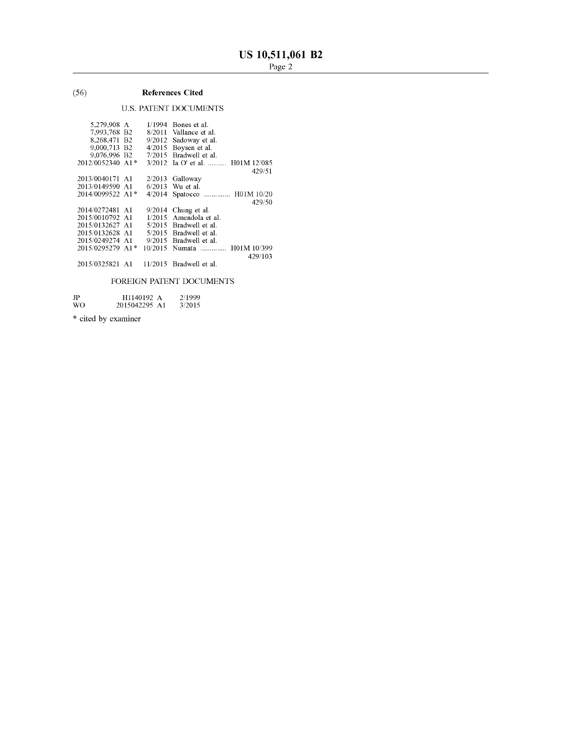## (56) **References Cited**

## U.S. PATENT DOCUMENTS

| 5,279,908 A      | 1/1994  | Bones et al.              |
|------------------|---------|---------------------------|
| 7,993,768 B2     |         | 8/2011 Vallance et al.    |
| 8.268.471 B2     | 9/2012  | Sadoway et al.            |
| 9,000,713 B2     | 4/2015  | Boysen et al.             |
| 9,076,996 B2     | 7/2015  | Bradwell et al.           |
| 2012/0052340 A1* | 3/2012  | Ia O' et al.  H01M 12/085 |
|                  |         | 429/51                    |
| 2013/0040171 A1  | 2/2013  | Galloway                  |
| 2013/0149590 A1  | 6/2013  | Wu et al.                 |
| 2014/0099522 A1* | 4/2014  | Spatocco  H01M 10/20      |
|                  |         | 429/50                    |
| 2014/0272481 A1  | 9/2014  | Chung et al.              |
| 2015/0010792 A1  | 1/2015  | Amendola et al.           |
| 2015/0132627 A1  | 5/2015  | Bradwell et al.           |
| 2015/0132628 A1  |         | 5/2015 Bradwell et al.    |
| 2015/0249274 A1  | 9/2015  | Bradwell et al.           |
| 2015/0295279 A1* | 10/2015 | Numata  H01M 10/399       |
|                  |         | 429/103                   |
| 2015/0325821 A1  | 11/2015 | Bradwell et al.           |
|                  |         |                           |
|                  |         |                           |

## FOREIGN PATENT DOCUMENTS

JP WO Hll40192 A 2015042295 Al 2/1999 3/2015

\* cited by examiner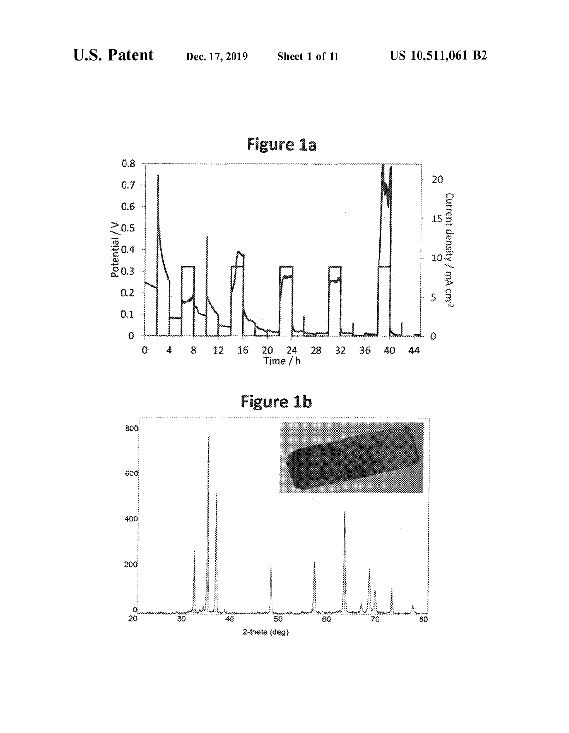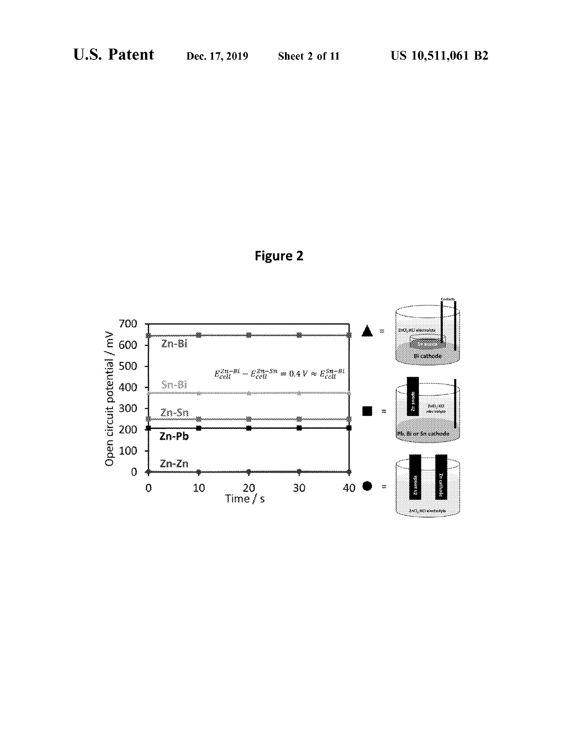

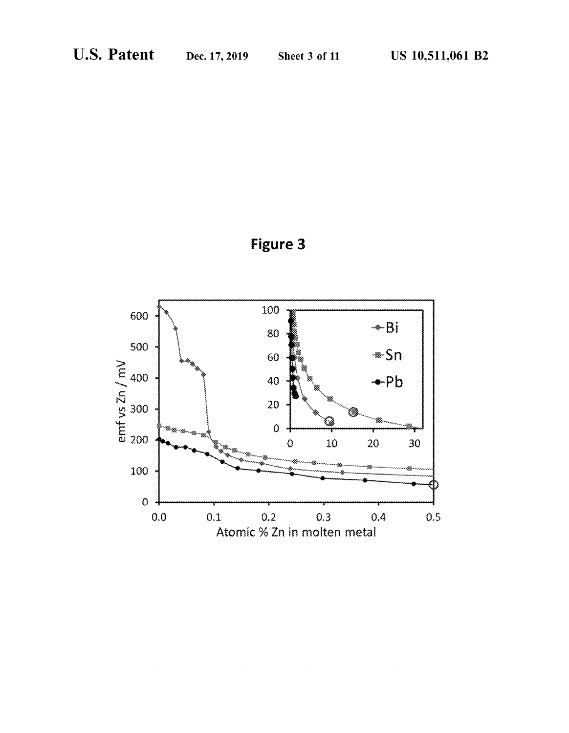

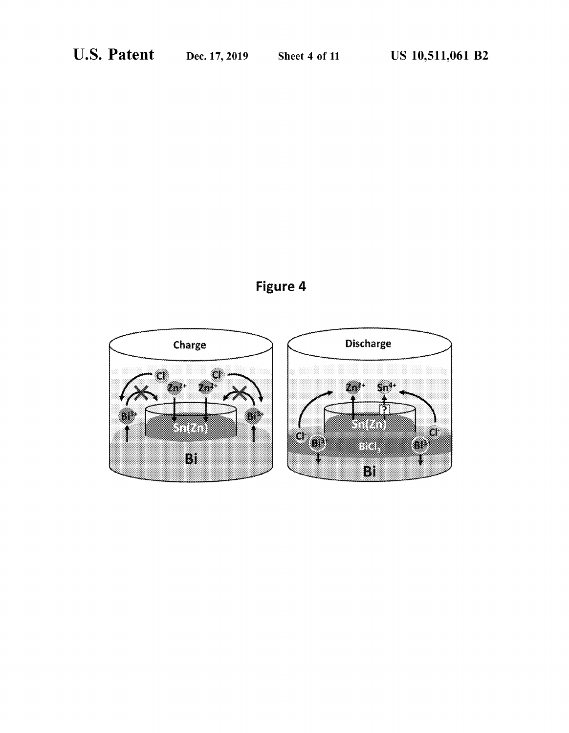## Figure 4

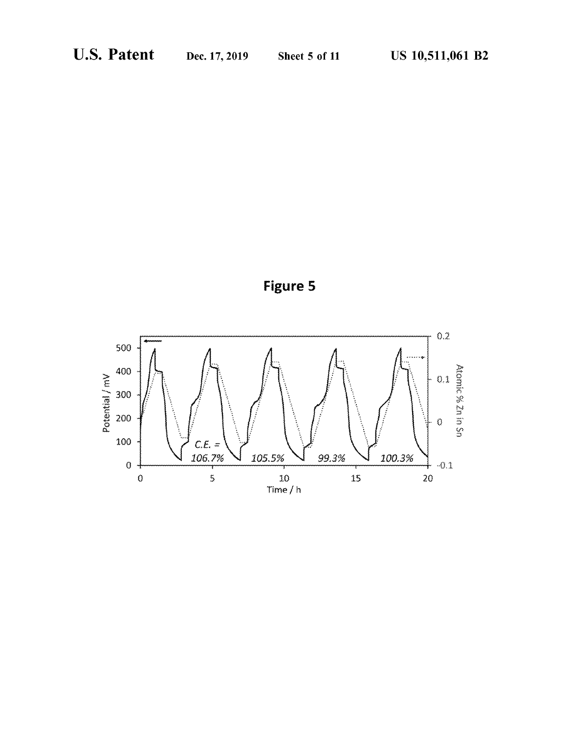

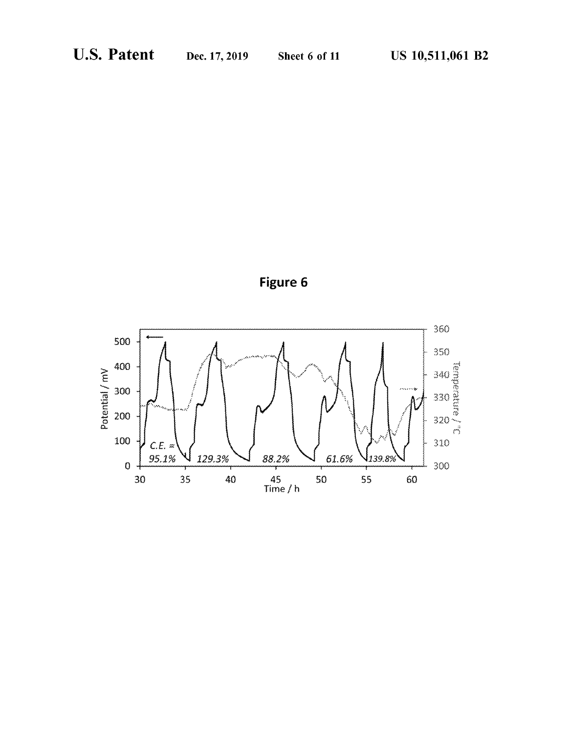

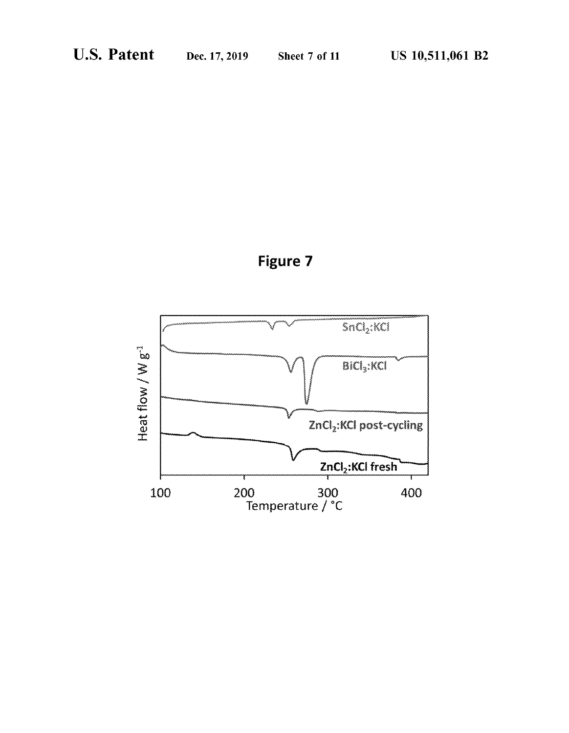

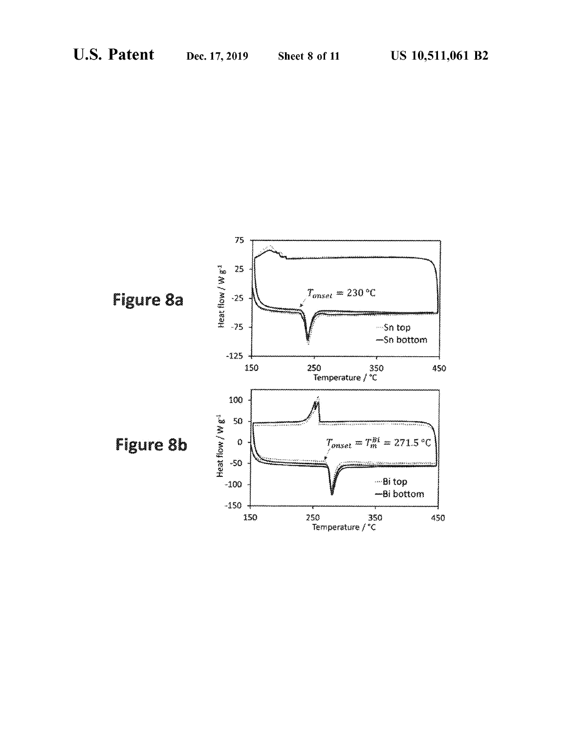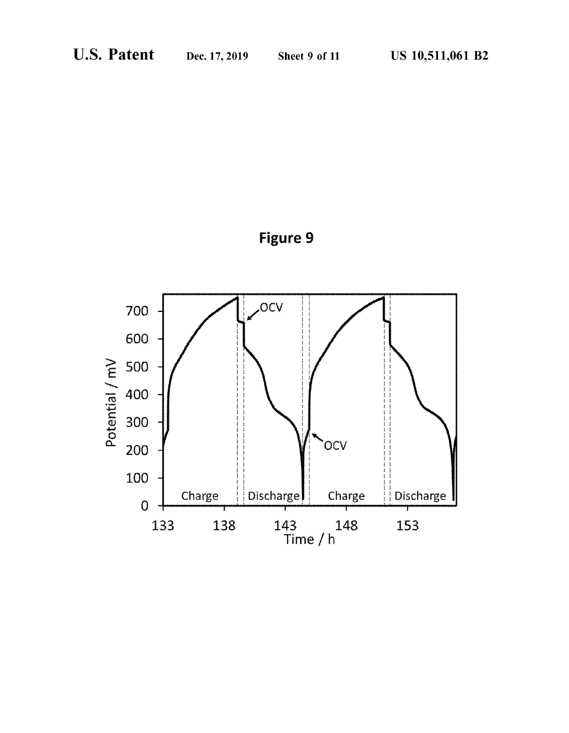

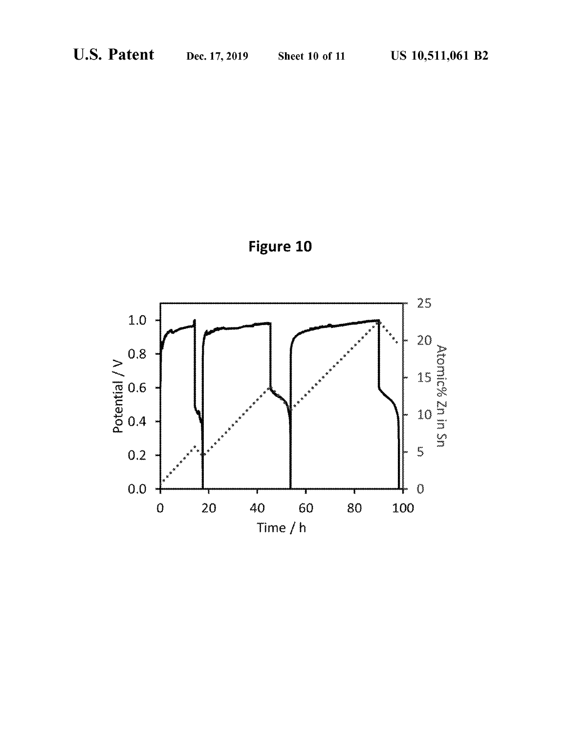

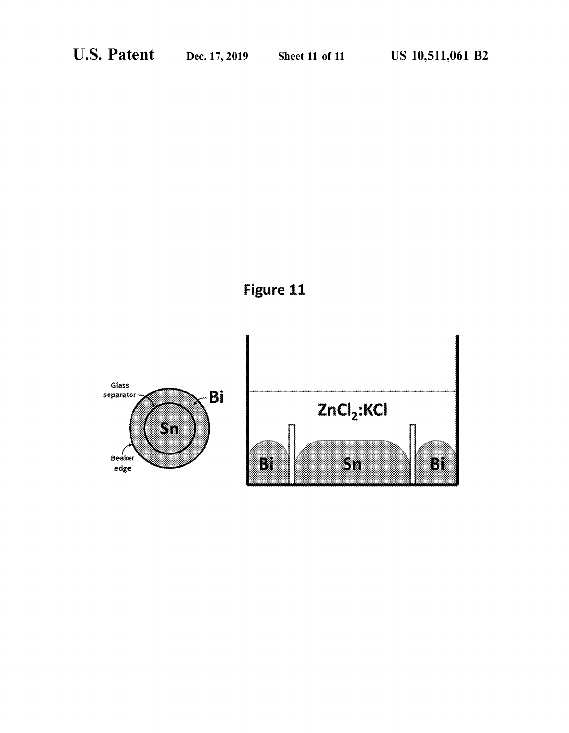

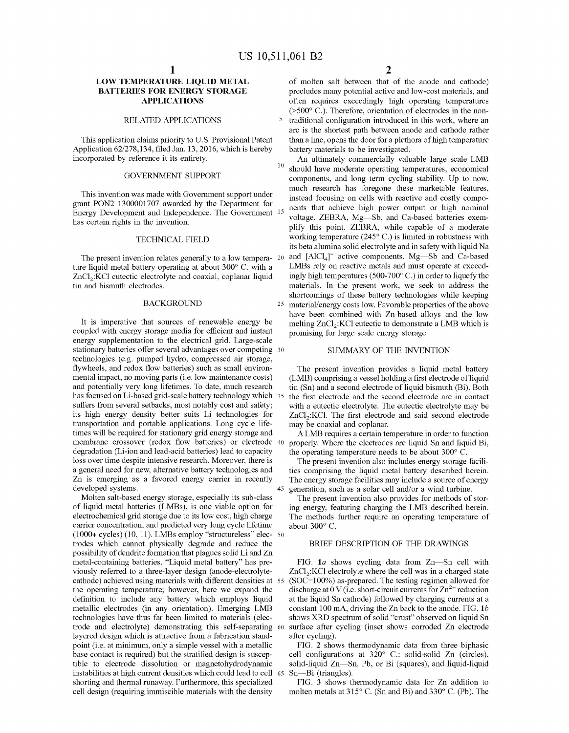## **LOW TEMPERATURE LIQUID METAL BATTERIES FOR ENERGY STORAGE APPLICATIONS**

## RELATED APPLICATIONS

This application claims priority to U.S. Provisional Patent Application 62/278,134, filed Jan. 13, 2016, which is hereby incorporated by reference it its entirety.

### GOVERNMENT SUPPORT

This invention was made with Govermnent support under grant PON2 1300001707 awarded by the Department for Energy Development and Independence. The Government has certain rights in the invention.

## TECHNICAL FIELD

The present invention relates generally to a low tempera- 20 ture liquid metal battery operating at about 300° C. with a ZnCl<sub>2</sub>:KCl eutectic electrolyte and coaxial, coplanar liquid tin and bismuth electrodes.

It is imperative that sources of renewable energy be coupled with energy storage media for efficient and instant energy supplementation to the electrical grid. Large-scale stationary batteries offer several advantages over competing 30 technologies (e.g. pumped hydro, compressed air storage, flywheels, and redox flow batteries) such as small environmental impact, no moving parts (i.e. low maintenance costs) and potentially very long lifetimes. To date, much research has focused on Li-based grid-scale battery technology which 35 suffers from several setbacks, most notably cost and safety; its high energy density better suits Li technologies for transportation and portable applications. Long cycle lifetimes will be required for stationary grid energy storage and membrane crossover (redox flow batteries) or electrode 40 degradation (Li-ion and lead-acid batteries) lead to capacity loss over time despite intensive research. Moreover, there is The present invention also includes energy storage facilia general need for new, alternative battery technologies and Zn is emerging as a favored energy carrier in recently developed systems.

Molten salt-based energy storage, especially its sub-class of liquid metal batteries (LMBs), is one viable option for electrochemical grid storage due to its low cost, high charge carrier concentration, and predicted very long cycle lifetime (1000+ cycles) (10, 11). LMBs employ "structureless" elec- 50 trodes which cannot physically degrade and reduce the possibility of dendrite formation that plagues solid Li and Zn metal-containing batteries. "Liquid metal battery" has previously referred to a three-layer design (anode-electrolytecathode) achieved using materials with different densities at 55 the operating temperature; however, here we expand the definition to include any battery which employs liquid metallic electrodes (in any orientation). Emerging LMB technologies have thus far been limited to materials ( electrode and electrolyte) demonstrating this self-separating 60 layered design which is attractive from a fabrication standpoint (i.e. at minimum, only a simple vessel with a metallic base contact is required) but the stratified design is susceptible to electrode dissolution or magnetohydrodynamic instabilities at high current densities which could lead to cell 65 shorting and thermal runaway. Furthermore, this specialized cell design (requiring immiscible materials with the density

of molten salt between that of the anode and cathode) precludes many potential active and low-cost materials, and often requires exceedingly high operating temperatures (>500° C.). Therefore, orientation of electrodes in the non-5 traditional configuration introduced in this work, where an arc is the shortest path between anode and cathode rather than a line, opens the door for a plethora of high temperature battery materials to be investigated.

An ultimately commercially valuable large scale LMB should have moderate operating temperatures, economical components, and long term cycling stability. Up to now, much research has foregone these marketable features, instead focusing on cells with reactive and costly components that achieve high power output or high nominal voltage. ZEBRA, Mg-Sb, and Ca-based batteries exemplify this point. ZEBRA, while capable of a moderate working temperature (245° C.) is limited in robustness with its beta alumina solid electrolyte and in safety with liquid Na and  $[AlCl<sub>4</sub>]<sup>-</sup>$  active components. Mg-Sb and Ca-based LMBs rely on reactive metals and must operate at exceedingly high temperatures ( 500-700° C.) in order to liquefy the materials. In the present work, we seek to address the shortcomings of these battery technologies while keeping BACKGROUND 25 material/energy costs low. Favorable properties of the above have been combined with Zn-based alloys and the low melting  $ZnCl<sub>2</sub>:KC$  eutectic to demonstrate a LMB which is promising for large scale energy storage.

## SUMMARY OF THE INVENTION

The present invention provides a liquid metal battery (LMB) comprising a vessel holding a first electrode of liquid tin (Sn) and a second electrode of liquid bismuth (Bi). Both the first electrode and the second electrode are in contact with a eutectic electrolyte. The eutectic electrolyte may be ZnCl<sub>2</sub>:KCl. The first electrode and said second electrode may be coaxial and coplanar.

A LMB requires a certain temperature in order to function properly. Where the electrodes are liquid Sn and liquid Bi, the operating temperature needs to be about 300° C.

ties comprising the liquid metal battery described herein. The energy storage facilities may include a source of energy generation, such as a solar cell and/or a wind turbine.

The present invention also provides for methods of storing energy, featuring charging the LMB described herein. The methods further require an operating temperature of about 300° C.

## BRIEF DESCRIPTION OF THE DRAWINGS

FIG. 1a shows cycling data from Zn-Sn cell with ZnCl<sub>2</sub>:KCl electrolyte where the cell was in a charged state (SOC=100%) as-prepared. The testing regimen allowed for discharge at  $0 \text{ V}$  (i.e. short-circuit currents for  $\text{Zn}^{2+}$  reduction at the liquid Sn cathode) followed by charging currents at a constant 100 mA, driving the Zn back to the anode. FIG. *lb*  shows XRD spectrum of solid "crust" observed on liquid Sn surface after cycling (inset shows corroded Zn electrode after cycling).

FIG. **2** shows thermodynamic data from three biphasic cell configurations at 320° C.: solid-solid Zn (circles), solid-liquid Zn-Sn, Pb, or Bi (squares), and liquid-liquid Sn-Bi (triangles).

FIG. **3** shows thermodynamic data for Zn addition to molten metals at 315° C. (Sn and Bi) and 330° C. (Pb). The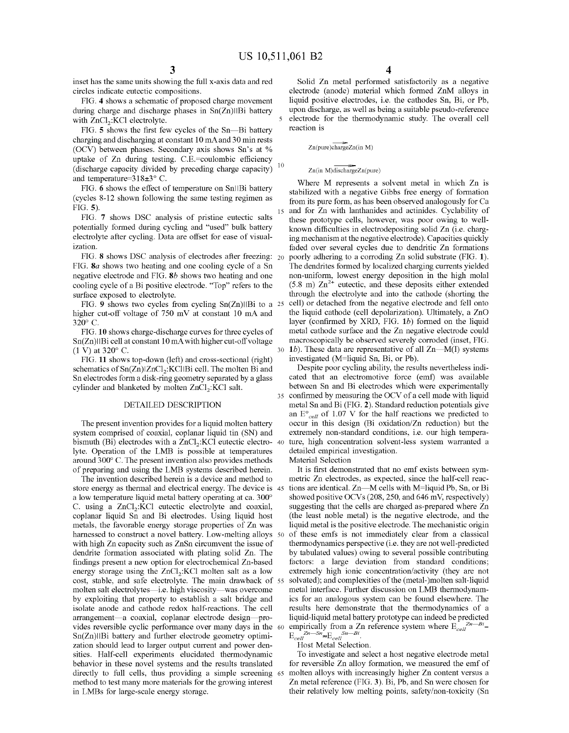inset has the same units showing the full x-axis data and red circles indicate eutectic compositions.

FIG. **4** shows a schematic of proposed charge movement during charge and discharge phases in  $Sn(Zn)||Bi$  battery with ZnCl<sub>2</sub>:KCl electrolyte.

FIG. **5** shows the first few cycles of the Sn—Bi battery charging and discharging at constant 10 mA and 30 min rests (OCV) between phases. Secondary axis shows Sn's at % uptake of Zn during testing. C.E.=coulombic efficiency (discharge capacity divided by preceding charge capacity)<sup>10</sup> and temperature=318±3° C.

FIG. 6 shows the effect of temperature on SnllBi battery (cycles 8-12 shown following the same testing regimen as FIG. **5).** 

FIG. **7** shows DSC analysis of pristine eutectic salts potentially formed during cycling and "used" bulk battery electrolyte after cycling. Data are offset for ease of visualization.

FIG. **S** shows DSC analysis of electrodes after freezing: FIG. *Sa* shows two heating and one cooling cycle of a Sn negative electrode and FIG. **Sb** shows two heating and one cooling cycle of a Bi positive electrode. "Top" refers to the surface exposed to electrolyte.

FIG. 9 shows two cycles from cycling  $Sn(Zn)||Bi$  to a 25 higher cut-off voltage of 750 mV at constant 10 mA and 320° C.

FIG. **10** shows charge-discharge curves for three cycles of  $Sn(Zn)|IBi$  cell at constant 10 mA with higher cut-off voltage (1 V) at 320° C.

FIG. **11** shows top-down (left) and cross-sectional (right) schematics of  $Sn(Zn)|ZnCl_2$ : KCl $B$ i cell. The molten Bi and Sn electrodes form a disk-ring geometry separated by a glass cylinder and blanketed by molten  $ZnCl_2$ : KCl salt.

## DETAILED DESCRIPTION

The present invention provides for a liquid molten battery system comprised of coaxial, coplanar liquid tin (SN) and bismuth (Bi) electrodes with a  $ZnCl_2$ :KCl eutectic electro-40 lyte. Operation of the LMB is possible at temperatures around 300° C. The present invention also provides methods of preparing and using the LMB systems described herein.

The invention described herein is a device and method to store energy as thermal and electrical energy. The device is 45 a low temperature liquid metal battery operating at ca. 300° C. using a  $ZnCl<sub>2</sub>:KCl$  eutectic electrolyte and coaxial, coplanar liquid Sn and Bi electrodes. Using liquid host metals, the favorable energy storage properties of Zn was harnessed to construct a novel battery. Low-melting alloys 50 with high Zn capacity such as ZnSn circumvent the issue of dendrite formation associated with plating solid Zn. The findings present a new option for electrochemical Zn-based energy storage using the  $ZnCl<sub>2</sub>:KC1$  molten salt as a low cost, stable, and safe electrolyte. The main drawback of molten salt electrolytes-i.e. high viscosity-was overcome by exploiting that property to establish a salt bridge and isolate anode and cathode redox half-reactions. The cell arrangement-a coaxial, coplanar electrode design-provides reversible cyclic performance over many days in the  $Sn(Zn)||Bi$  battery and further electrode geometry optimization should lead to larger output current and power densities. Half-cell experiments elucidated thermodynamic behavior in these novel systems and the results translated directly to full cells, thus providing a simple screening 65 method to test many more materials for the growing interest in LMBs for large-scale energy storage. their relatively low melting points, safety/non-toxicity (Sn

Solid Zn metal performed satisfactorily as a negative electrode (anode) material which formed ZnM alloys in liquid positive electrodes, i.e. the cathodes Sn, Bi, or Pb, upon discharge, as well as being a suitable pseudo-reference 5 electrode for the thermodynamic study. The overall cell reaction is

 $Zn(pure)chargeZn(in M)$ 

### $Zn(in M)dischargeZn(pure)$

Where M represents a solvent metal in which Zn is stabilized with a negative Gibbs free energy of formation from its pure form, as has been observed analogously for Ca and for Zn with lanthanides and actinides. Cyclability of these prototype cells, however, was poor owing to wellknown difficulties in electrodepositing solid Zn (i.e. charging mechanism at the negative electrode). Capacities quickly faded over several cycles due to dendritic Zn formations poorly adhering to a corroding Zn solid substrate (FIG. 1). The dendrites formed by localized charging currents yielded non-uniform, lowest energy deposition in the high molal  $(5.8 \text{ m})$   $\text{Zn}^{2+}$  eutectic, and these deposits either extended through the electrolyte and into the cathode (shorting the 25 cell) or detached from the negative electrode and fell onto the liquid cathode (cell depolarization). Ultimately, a ZnO layer (confirmed by XRD, FIG. *lb)* formed on the liquid metal cathode surface and the Zn negative electrode could macroscopically be observed severely corroded (inset, FIG. 30 1*b*). These data are representative of all Zn-M(I) systems investigated (M=liquid Sn, Bi, or Pb).

Despite poor cycling ability, the results nevertheless indicated that an electromotive force (emf) was available between Sn and Bi electrodes which were experimentally 35 confirmed by measuring the OCV of a cell made with liquid metal Sn and Bi (FIG. **2).** Standard reduction potentials give an  $E^{\circ}_{cell}$  of 1.07 V for the half reactions we predicted to occur in this design (Bi oxidation/Zn reduction) but the extremely non-standard conditions, i.e. our high temperature, high concentration solvent-less system warranted a detailed empirical investigation.

Material Selection

It is first demonstrated that no emf exists between symmetric Zn electrodes, as expected, since the half-cell reactions are identical. Zn-M cells with M=liquid Pb, Sn, or Bi showed positive OCVs (208, 250, and 646 mV, respectively) suggesting that the cells are charged as-prepared where Zn (the least noble metal) is the negative electrode, and the liquid metal is the positive electrode. The mechanistic origin of these emfs is not immediately clear from a classical thermodynamics perspective (i.e. they are not well-predicted by tabulated values) owing to several possible contributing factors: a large deviation from standard conditions; extremely high ionic concentration/activity (they are not solvated); and complexities of the (metal-)molten salt-liquid metal interface. Further discussion on LMB thermodynamics for an analogous system can be found elsewhere. The results here demonstrate that the thermodynamics of a liquid-liquid metal battery prototype can indeed be predicted empirically from a Zn reference system where  $E_{cell}^{Zn-Bi}$  $E_{cell}$ <sup>Zn-Sn</sup> $\approx E_{cell}$ <sup>Sn-Bi</sup>

Host Metal Selection.

To investigate and select a host negative electrode metal for reversible Zn alloy formation, we measured the emf of molten alloys with increasingly higher Zn content versus a Zn metal reference (FIG. 3). Bi, Pb, and Sn were chosen for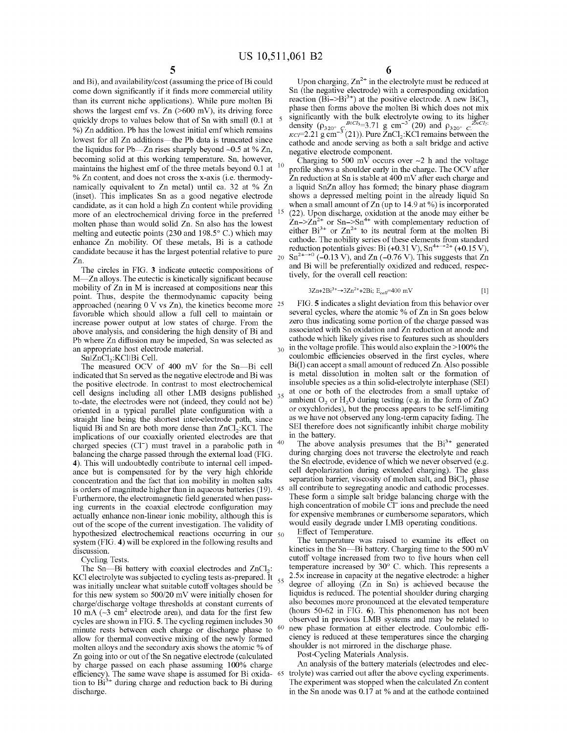and Bi), and availability/cost (assuming the price of Bi could come down significantly if it finds more commercial utility than its current niche applications). While pure molten Bi shows the largest emf vs. Zn  $($ >600 mV), its driving force quickly drops to values below that of Sn with small  $(0.1 \text{ at } 5$ % ) Zn addition. Pb has the lowest initial emf which remains lowest for all Zn additions—the Pb data is truncated since the liquidus for Pb—Zn rises sharply beyond  $\sim$ 0.5 at % Zn, becoming solid at this working temperature. Sn, however, maintains the highest emf of the three metals beyond 0.1 at  $10$ % Zn content, and does not cross the x-axis (i.e. thermodynamically equivalent to Zn metal) until ca. 32 at % Zn (inset). This implicates Sn as a good negative electrode candidate, as it can hold a high Zn content while providing more of an electrochemical driving force in the preferred molten phase than would solid Zn. Sn also has the lowest melting and eutectic points (230 and 198.5° C.) which may enhance Zn mobility. Of these metals, Bi is a cathode candidate because it has the largest potential relative to pure Zn.

The circles in FIG. **3** indicate eutectic compositions of M—Zn alloys. The eutectic is kinetically significant because mobility of Zn in M is increased at compositions near this point. Thus, despite the thermodynamic capacity being approached (nearing O V vs Zn), the kinetics become more 25 favorable which should allow a full cell to maintain or increase power output at low states of charge. From the above analysis, and considering the high density of Bi and an appropriate host electrode material.

Sn|ZnCl<sub>2</sub>:KCl|Bi Cell.

The measured OCV of 400 mV for the Sn-Bi cell indicated that Sn served as the negative electrode and Bi was the positive electrode. In contrast to most electrochemical cell designs including all other LMB designs published  $35$ to-date, the electrodes were not (indeed, they could not be) oriented in a typical parallel plate configuration with a straight line being the shortest inter-electrode path, since liquid Bi and Sn are both more dense than  $ZnCl<sub>2</sub>:KCl$ . The implications of our coaxially oriented electrodes are that charged species  $(C<sup>-</sup>)$  must travel in a parabolic path in  $40$ balancing the charge passed through the external load (FIG. **4).** This will undoubtedly contribute to internal cell impedance but is compensated for by the very high chloride concentration and the fact that ion mobility in molten salts is orders of magnitude higher than in aqueous batteries (19). 45 Furthermore, the electromagnetic field generated when passing currents in the coaxial electrode configuration may actually enhance non-linear ionic mobility, although this is out of the scope of the current investigation. The validity of hypothesized electrochemical reactions occurring in our 50 system (FIG. **4)** will be explored in the following results and discussion.

Cycling Tests.

The Sn—Bi battery with coaxial electrodes and  $ZnCl<sub>2</sub>$ :<br>KCl electrolyte was subjected to cycling tests as-prepared. It was initially unclear what suitable cutoff voltages should be for this new system so  $500/20$  mV were initially chosen for charge/discharge voltage thresholds at constant currents of 10 mA  $(-3 \text{ cm}^2)$  electrode area), and data for the first few cycles are shown in FIG. **5.** The cycling regimen includes 30 minute rests between each charge or discharge phase to  $60$ allow for thermal convective mixing of the newly formed molten alloys and the secondary axis shows the atomic % of Zn going into or out of the Sn negative electrode ( calculated by charge passed on each phase assuming 100% charge efficiency). The same wave shape is assumed for Bi oxida-  $65$  tion to Bi<sup>3+</sup> during charge and reduction back to Bi during discharge.

**6** 

Upon charging,  $\text{Zn}^{2+}$  in the electrolyte must be reduced at Sn (the negative electrode) with a corresponding oxidation reaction (Bi- $>Bi^{3+}$ ) at the positive electrode. A new BiCl<sub>3</sub> phase then forms above the molten Bi which does not mix significantly with the bulk electrolyte owing to its higher density ( $\rho_{320^\circ}$   $c^{BiCl_3=3.71}$  g cm<sup>-3</sup> (20) and  $\rho_{320^\circ}$   $c^{ZnCl_2}$ .  $\kappa c$ *i*=2.21 g cm<sup>-3</sup> (21)). Pure ZnCl<sub>2</sub>:KCl remains between the cathode and anode serving as both a salt bridge and active negative electrode component.

Charging to 500 mV occurs over  $\sim$  2 h and the voltage profile shows a shoulder early in the charge. The OCV after Zn reduction at Sn is stable at 400 mV after each charge and a liquid SnZn alloy has formed; the binary phase diagram shows a depressed melting point in the already liquid Sn when a small amount of Zn (up to 14.9 at %) is incorporated (22). Upon discharge, oxidation at the anode may either be  $Zn$ -> $Zn$ <sup>2+</sup> or Sn->Sn<sup>4+</sup> with complementary reduction of either  $Bi^{3+}$  or  $Zn^{2+}$  to its neutral form at the molten Bi cathode. The nobility series of these elements from standard reduction potentials gives: Bi (+0.31 V),  $\text{Sn}^{4+\rightarrow2+}$  (+0.15 V),  $Sn^{2+\rightarrow 0}$  (-0.13 V), and Zn (-0.76 V). This suggests that Zn and Bi will be preferentially oxidized and reduced, respectively, for the overall cell reaction:

$$
3Zn + 2Bi3+ \to 3Zn2+ + 2Bi; Ecell=400 mV
$$
 [1]

FIG. **5** indicates a slight deviation from this behavior over several cycles, where the atomic % of Zn in Sn goes below zero thus indicating some portion of the charge passed was associated with Sn oxidation and Zn reduction at anode and cathode which likely gives rise to features such as shoulders  $_{30}$  in the voltage profile. This would also explain the > 100% the coulombic efficiencies observed in the first cycles, where Bi(I) can accept a small amount of reduced Zn. Also possible is metal dissolution in molten salt or the formation of insoluble species as a thin solid-electrolyte interphase (SEI) at one or both of the electrodes from a small uptake of ambient  $O_2$  or  $H_2O$  during testing (e.g. in the form of ZnO or oxychlorides), but the process appears to be self-limiting as we have not observed any long-term capacity fading. The SEI therefore does not significantly inhibit charge mobility in the battery.

The above analysis presumes that the  $Bi^{3+}$  generated during charging does not traverse the electrolyte and reach the Sn electrode, evidence of which we never observed (e.g. cell depolarization during extended charging). The glass separation barrier, viscosity of molten salt, and BiCl<sub>3</sub> phase all contribute to segregating anodic and cathodic processes. These form a simple salt bridge balancing charge with the high concentration of mobile Cl<sup>-</sup> ions and preclude the need for expensive membranes or cumbersome separators, which would easily degrade under LMB operating conditions.

Effect of Temperature.

The temperature was raised to examine its effect on kinetics in the Sn-Bi battery. Charging time to the 500 mV cutoff voltage increased from two to five hours when cell temperature increased by 30° C. which. This represents a  $2.5x$  increase in capacity at the negative electrode: a higher degree of alloying (Zn in Sn) is achieved because the liquidus is reduced. The potential shoulder during charging also becomes more pronounced at the elevated temperature (hours 50-62 in FIG. **6).** This phenomenon has not been observed in previous LMB systems and may be related to new phase formation at either electrode. Coulombic efficiency is reduced at these temperatures since the charging shoulder is not mirrored in the discharge phase.

Post-Cycling Materials Analysis.

An analysis of the battery materials (electrodes and electrolyte) was carried out after the above cycling experiments. The experiment was stopped when the calculated Zn content in the Sn anode was 0.17 at % and at the cathode contained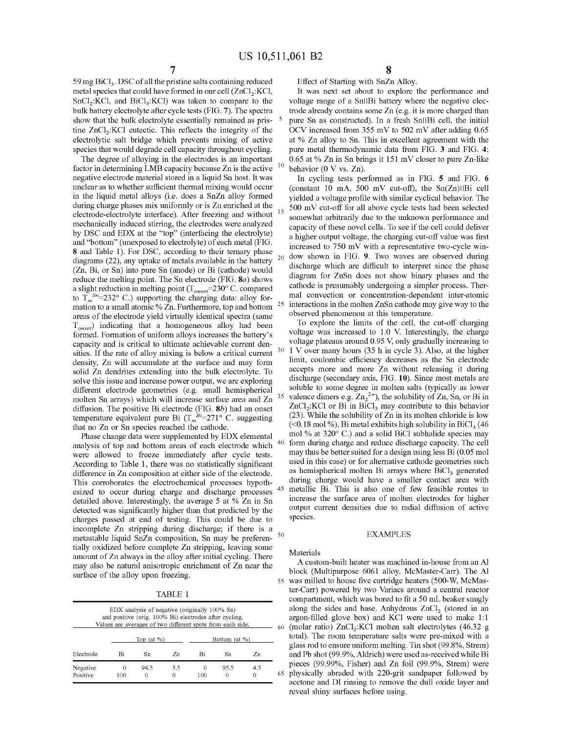59 mg  $BiCl<sub>3</sub>$ . DSC of all the pristine salts containing reduced metal species that could have formed in our cell  $(ZnCl<sub>2</sub>:KCI,$  $SnCl<sub>2</sub>:KCI, and BiCl<sub>3</sub>:KCI) was taken to compare to the$ bulk battery electrolyte after cycle tests (FIG. **7).** The spectra show that the bulk electrolyte essentially remained as pristine  $ZnCl<sub>2</sub>:KC1$  eutectic. This reflects the integrity of the electrolytic salt bridge which prevents mixing of active species that would degrade cell capacity throughout cycling.

The degree of alloying in the electrodes is an important factor in determining LMB capacity because Zn is the active negative electrode material stored in a liquid Sn host. It was unclear as to whether sufficient thermal mixing would occur in the liquid metal alloys (i.e. does a SnZn alloy formed during charge phases mix uniformly or is Zn enriched at the electrode-electrolyte interface). After freezing and without mechanically induced stirring, the electrodes were analyzed by DSC and EDX at the "top" (interfacing the electrolyte) and "bottom" (unexposed to electrolyte) of each metal (FIG. **S** and Table 1). For DSC, according to their ternary phase diagrams (22), any uptake of metals available in the battery  $20$ (Zn, Bi, or Sn) into pure Sn (anode) or Bi (cathode) would reduce the melting point. The Sn electrode (FIG. *Sa)* shows a slight reduction in melting point (T<sub>onset</sub>=230° C. compared to  $T_m^{Sn}$ =232° C.) supporting the charging data: alloy formation to a small atomic %  $\overline{Z}$ n. Furthermore, top and bottom  $25$ areas of the electrode yield virtually identical spectra (same T *onset)* indicating that a homogeneous alloy had been formed. Formation of uniform alloys increases the battery's capacity and is critical to ultimate achievable current densities. If the rate of alloy mixing is below a critical current density, Zn will accumulate at the surface and may form solid Zn dendrites extending into the bulk electrolyte. To solve this issue and increase power output, we are exploring different electrode geometries (e.g. small hemispherical molten Sn arrays) which will increase surface area and Zn <sup>35</sup> diffusion. The positive Bi electrode (FIG. **Sb)** had an onset temperature equivalent pure Bi  $(T_m^{\overrightarrow{Bi}}=271^\circ \text{ C.}$  suggesting that no Zn or Sn species reached the cathode.

Phase change data were supplemented by EDX elemental analysis of top and bottom areas of each electrode which were allowed to freeze immediately after cycle tests. According to Table 1, there was no statistically significant difference in Zn composition at either side of the electrode. This corroborates the electrochemical processes hypothesized to occur during charge and discharge processes detailed above. Interestingly, the average 5 at % Zn in Sn detected was significantly higher than that predicted by the charges passed at end of testing. This could be due to incomplete Zn stripping during discharge; if there is a metastable liquid SnZn composition, Sn may be preferen- <sup>50</sup> tially oxidized before complete Zn stripping, leaving some amount of Zn always in the alloy after initial cycling. There may also be natural anisotropic enrichment of Zn near the

TABLE 1

| EDX analysis of negative (originally 100% Sn)<br>and positive (orig. 100% Bi) electrodes after cycling.<br>Values are averages of two different spots from each side. |                |                 |     |               |                  |          |  |
|-----------------------------------------------------------------------------------------------------------------------------------------------------------------------|----------------|-----------------|-----|---------------|------------------|----------|--|
|                                                                                                                                                                       | Top $(at \%)$  |                 |     | Bottom (at %) |                  |          |  |
| Electrode                                                                                                                                                             | Bi             | Sn              | Zn  | Bi            | Sn               | Zn       |  |
| Negative<br>Positive                                                                                                                                                  | $^{()}$<br>100 | 94.5<br>$^{()}$ | 5.5 | 0<br>100      | 95.5<br>$^{(1)}$ | 4.5<br>0 |  |

Effect of Starting with SnZn Alloy.

It was next set about to explore the performance and voltage range of a Snl|Bi battery where the negative electrode already contains some Zn (e.g. it is more charged than pure Sn as constructed). In a fresh Sn||Bi cell, the initial OCV increased from  $355 \text{ mV}$  to  $502 \text{ mV}$  after adding 0.65 at % Zn alloy to Sn. This in excellent agreement with the pure metal thermodynamic data from FIG. **3** and FIG. **4;**  0.65 at % Zn in Sn brings it 151 m V closer to pure Zn-like behavior (0 V vs. Zn).

In cycling tests performed as in FIG. **5** and FIG. **6**  (constant 10 mA, 500 mV cut-off), the  $Sn(Zn)$ ||Bi cell yielded a voltage profile with similar cyclical behavior. The 500 mV cut-off for all above cycle tests had been selected somewhat arbitrarily due to the unknown performance and capacity of these novel cells. To see if the cell could deliver a higher output voltage, the charging cut-off value was first increased to 750 mV with a representative two-cycle window shown in FIG. **9.** Two waves are observed during discharge which are difficult to interpret since the phase diagram for ZnSn does not show binary phases and the cathode is presumably undergoing a simpler process. Thermal convection or concentration-dependent inter-atomic interactions in the molten ZnSn cathode may give way to the observed phenomenon at this temperature.

To explore the limits of the cell, the cut-off charging voltage was increased to 1.0 V. Interestingly, the charge voltage plateaus around 0.95 V, only gradually increasing to 1 V over many hours (35 h in cycle 3). Also, at the higher limit, coulombic efficiency decreases as the Sn electrode accepts more and more Zn without releasing it during discharge (secondary axis, FIG. **10).** Since most metals are soluble to some degree in molten salts (typically as lower valence dimers e.g.  $Zn_2^2$ , the solubility of Zn, Sn, or Bi in  $ZnCl<sub>2</sub>:KCl$  or Bi in BiCl<sub>3</sub> may contribute to this behavior (23). While the solubility of Zn in its molten chloride is low  $(< 0.18 \text{ mol } \%)$ , Bi metal exhibits high solubility in BiCl<sub>3</sub> (46) mo! % at 320° C.) and a solid BiCI subhalide species may form during charge and reduce discharge capacity. The cell may thus be better suited for a design using less Bi (0.05 mo! used in this case) or for alternative cathode geometries such as hemispherical molten Bi arrays where  $BiCl<sub>3</sub>$  generated during charge would have a smaller contact area with metallic Bi. This is also one of few feasible routes to increase the surface area of molten electrodes for higher output current densities due to radial diffusion of active species.

## EXAMPLES

### Materials

A custom-built heater was machined in-house from an Al block (Multipurpose 6061 alloy, McMaster-Carr). The Al surface of the alloy upon freezing. 55 was milled to house five cartridge heaters (500-W, McMaster-Carr) powered by two Variacs around a central reactor compartment, which was bored to fit a 50 mL beaker snugly along the sides and base. Anhydrous  $ZnCl<sub>2</sub>$  (stored in an argon-filled glove box) and KCl were used to make 1:1  $\frac{60 \text{ (molar ratio)} ZnCl \cdot KCl \text{ molten salt electrodes } (46.32 \text{ g})}{(46.32 \text{ g})}$ (molar ratio)  $ZnCl<sub>2</sub>:KC1$  molten salt electrolytes (46.32 g total). The room temperature salts were pre-mixed with a glass rod to ensure uniform melting. Tin shot (99.8%, Strem) and Pb shot (99.9%, Aldrich) were used as-received while Bi pieces (99.99%, Fisher) and Zn foil (99.9%, Strem) were 65 physically abraded with 220-grit sandpaper followed by acetone and DI rinsing to remove the dull oxide layer and reveal shiny surfaces before using.